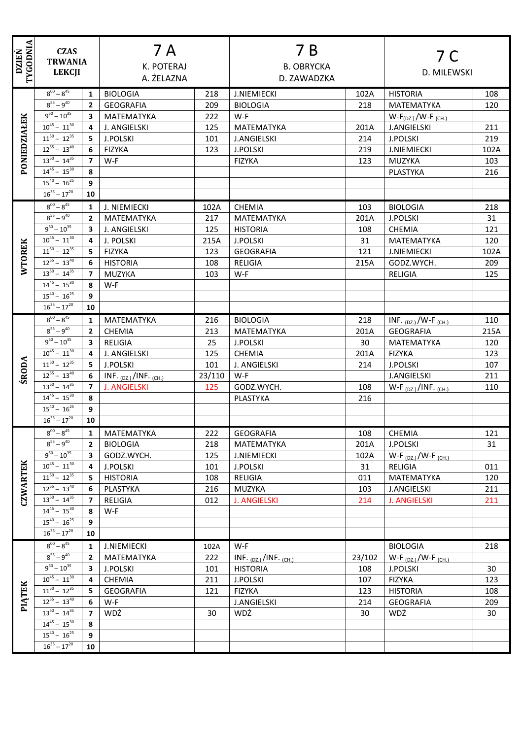| <b>DZIEŃ</b>    | TYGODNIA<br><b>CZAS</b><br><b>TRWANIA</b><br><b>LEKCJI</b> |                         | 7 A<br><b>K. POTERAJ</b>            |            | 7 B<br><b>B. OBRYCKA</b>           |             | 7 C<br>D. MILEWSKI                |            |
|-----------------|------------------------------------------------------------|-------------------------|-------------------------------------|------------|------------------------------------|-------------|-----------------------------------|------------|
|                 | $8^{00} - 8^{45}$                                          |                         | A. ŻELAZNA                          |            | D. ZAWADZKA                        |             |                                   |            |
|                 | $8^{55} - 9^{40}$                                          | 1<br>$\overline{2}$     | <b>BIOLOGIA</b><br><b>GEOGRAFIA</b> | 218<br>209 | <b>J.NIEMIECKI</b>                 | 102A<br>218 | <b>HISTORIA</b><br>MATEMATYKA     | 108<br>120 |
|                 | $9^{50} - 10^{35}$                                         | 3                       | MATEMATYKA                          | 222        | <b>BIOLOGIA</b><br>W-F             |             | $W-F_{(DZ.)} / W-F_{(CH.)}$       |            |
| PONIEDZIAŁEK    | $10^{45} - 11^{30}$                                        | 4                       | J. ANGIELSKI                        | 125        | MATEMATYKA                         | 201A        | <b>J.ANGIELSKI</b>                | 211        |
|                 | $11^{50} - 12^{35}$                                        | 5                       | <b>J.POLSKI</b>                     | 101        | <b>J.ANGIELSKI</b>                 | 214         | <b>J.POLSKI</b>                   | 219        |
|                 | $12^{55} - 13^{40}$                                        | 6                       | <b>FIZYKA</b>                       | 123        | <b>J.POLSKI</b>                    | 219         | <b>J.NIEMIECKI</b>                | 102A       |
|                 | $13^{50} - 14^{35}$                                        | $\overline{7}$          | W-F                                 |            | <b>FIZYKA</b>                      | 123         | <b>MUZYKA</b>                     | 103        |
|                 | $14^{45} - 15^{30}$                                        | 8                       |                                     |            |                                    |             | PLASTYKA                          | 216        |
|                 | $15^{40} - 16^{25}$                                        | 9                       |                                     |            |                                    |             |                                   |            |
|                 | $16^{35} - 17^{20}$                                        | 10                      |                                     |            |                                    |             |                                   |            |
|                 | $8^{00} - 8^{45}$                                          | $\mathbf{1}$            | J. NIEMIECKI                        | 102A       | <b>CHEMIA</b>                      | 103         | <b>BIOLOGIA</b>                   | 218        |
|                 | $8^{55} - 9^{40}$                                          | $\overline{2}$          | MATEMATYKA                          | 217        | MATEMATYKA                         | 201A        | <b>J.POLSKI</b>                   | 31         |
|                 | $9^{50} - 10^{35}$                                         | $\overline{\mathbf{3}}$ | J. ANGIELSKI                        | 125        | <b>HISTORIA</b>                    | 108         | <b>CHEMIA</b>                     | 121        |
|                 | $10^{45} - 11^{30}$                                        | $\overline{\mathbf{4}}$ | J. POLSKI                           | 215A       | <b>J.POLSKI</b>                    | 31          | MATEMATYKA                        | 120        |
| <b>WTOREK</b>   | $11^{50} - 12^{35}$                                        | 5                       | <b>FIZYKA</b>                       | 123        | <b>GEOGRAFIA</b>                   | 121         | <b>J.NIEMIECKI</b>                | 102A       |
|                 | $12^{55} - 13^{40}$                                        | 6                       | <b>HISTORIA</b>                     | 108        | RELIGIA                            | 215A        | GODZ.WYCH.                        | 209        |
|                 | $13^{50} - 14^{35}$                                        | $\overline{7}$          | MUZYKA                              | 103        | W-F                                |             | <b>RELIGIA</b>                    | 125        |
|                 | $14^{45} - 15^{30}$                                        | 8                       | W-F                                 |            |                                    |             |                                   |            |
|                 | $15^{40} - 16^{25}$                                        | 9                       |                                     |            |                                    |             |                                   |            |
|                 | $16^{35} - 17^{20}$                                        | 10                      |                                     |            |                                    |             |                                   |            |
|                 | $8^{00} - 8^{45}$                                          | 1                       | MATEMATYKA                          | 216        | <b>BIOLOGIA</b>                    | 218         | INF. $_{(DZ.)}$ /W-F $_{(CH.)}$   | 110        |
|                 | $8^{55} - 9^{40}$                                          | $\overline{2}$          | <b>CHEMIA</b>                       | 213        | MATEMATYKA                         | 201A        | <b>GEOGRAFIA</b>                  | 215A       |
|                 | $9^{50} - 10^{35}$                                         | 3                       | <b>RELIGIA</b>                      | 25         | <b>J.POLSKI</b>                    | 30          | MATEMATYKA                        | 120        |
|                 | $10^{45} - 11^{30}$                                        | 4                       | J. ANGIELSKI                        | 125        | <b>CHEMIA</b>                      | 201A        | <b>FIZYKA</b>                     | 123        |
|                 | $11^{50} - 12^{35}$                                        | 5                       | <b>J.POLSKI</b>                     | 101        | J. ANGIELSKI                       | 214         | <b>J.POLSKI</b>                   | 107        |
| <b>ŚRODA</b>    | $12^{55} - 13^{40}$                                        | 6                       | INF. $_{(DZ.)}$ /INF. $_{(CH.)}$    | 23/110     | W-F                                |             | <b>J.ANGIELSKI</b>                | 211        |
|                 | $13^{50} - 14^{35}$                                        | $\overline{7}$          | <b>J. ANGIELSKI</b>                 | 125        | GODZ.WYCH.                         | 108         | W-F $_{(DZ_i)}/INF$ . $_{(CH_i)}$ | 110        |
|                 | $14^{45} - 15^{30}$                                        | 8                       |                                     |            | PLASTYKA                           | 216         |                                   |            |
|                 | $15^{40} - 16^{25}$                                        | $\overline{9}$          |                                     |            |                                    |             |                                   |            |
|                 | $16^{35} - 17^{20}$                                        | 10                      |                                     |            |                                    |             |                                   |            |
|                 | $8^{00} - 8^{45}$                                          | 1                       | MATEMATYKA                          | 222        | <b>GEOGRAFIA</b>                   | 108         | <b>CHEMIA</b>                     | 121        |
|                 | $8^{55} - 9^{40}$                                          | $\overline{2}$          | <b>BIOLOGIA</b>                     | 218        | MATEMATYKA                         | 201A        | <b>J.POLSKI</b>                   | 31         |
|                 | $9^{50} - 10^{35}$                                         | 3                       | GODZ.WYCH.                          | 125        | <b>J.NIEMIECKI</b>                 | 102A        | W-F $_{(DZ.)}$ /W-F $_{(CH.)}$    |            |
|                 | $10^{45} - 11^{30}$                                        | 4                       | <b>J.POLSKI</b>                     | 101        | <b>J.POLSKI</b>                    | 31          | <b>RELIGIA</b>                    | 011        |
|                 | $11^{50} - 12^{35}$                                        | 5                       | <b>HISTORIA</b>                     | 108        | <b>RELIGIA</b>                     | 011         | MATEMATYKA                        | 120        |
| <b>CZWARTEK</b> | $12^{55} - 13^{40}$                                        | 6                       | PLASTYKA                            | 216        | MUZYKA                             | 103         | <b>J.ANGIELSKI</b>                | 211        |
|                 | $13^{50} - 14^{35}$                                        | 7                       | RELIGIA                             | 012        | <b>J. ANGIELSKI</b>                | 214         | <b>J. ANGIELSKI</b>               | 211        |
|                 | $14^{45} - 15^{30}$                                        | 8                       | $W-F$                               |            |                                    |             |                                   |            |
|                 | $15^{40} - 16^{25}$                                        | 9                       |                                     |            |                                    |             |                                   |            |
|                 | $16^{35} - 17^{20}$                                        | 10                      |                                     |            |                                    |             |                                   |            |
|                 | $8^{00} - 8^{45}$                                          | 1                       | <b>J.NIEMIECKI</b>                  | 102A       | W-F                                |             | <b>BIOLOGIA</b>                   | 218        |
|                 | $8^{55} - 9^{40}$                                          | $\mathbf{2}$            | MATEMATYKA                          | 222        | INF. $_{(DZ_i)}/INF$ . $_{(CH_i)}$ | 23/102      | W-F $_{(DZ.)}$ /W-F $_{(CH.)}$    |            |
|                 | $9^{50} - 10^{35}$                                         | 3                       | <b>J.POLSKI</b>                     | 101        | <b>HISTORIA</b>                    | 108         | <b>J.POLSKI</b>                   | 30         |
| PIĄTEK          | $10^{45} - 11^{30}$                                        | 4                       | <b>CHEMIA</b>                       | 211        | <b>J.POLSKI</b>                    | 107         | <b>FIZYKA</b>                     | 123        |
|                 | $11^{50} - 12^{35}$                                        | 5                       | <b>GEOGRAFIA</b>                    | 121        | <b>FIZYKA</b>                      | 123         | <b>HISTORIA</b>                   | 108        |
|                 | $12^{55} - 13^{40}$                                        | 6                       | W-F                                 |            | <b>J.ANGIELSKI</b>                 | 214         | <b>GEOGRAFIA</b>                  | 209        |
|                 | $13^{50} - 14^{35}$                                        | $\overline{7}$          | WDŻ                                 | 30         | WDŻ                                | 30          | WDŻ                               | 30         |
|                 | $14^{45} - 15^{30}$                                        | 8                       |                                     |            |                                    |             |                                   |            |
|                 | $15^{40} - 16^{25}$                                        | 9                       |                                     |            |                                    |             |                                   |            |
|                 | $16^{35} - 17^{20}$                                        | 10                      |                                     |            |                                    |             |                                   |            |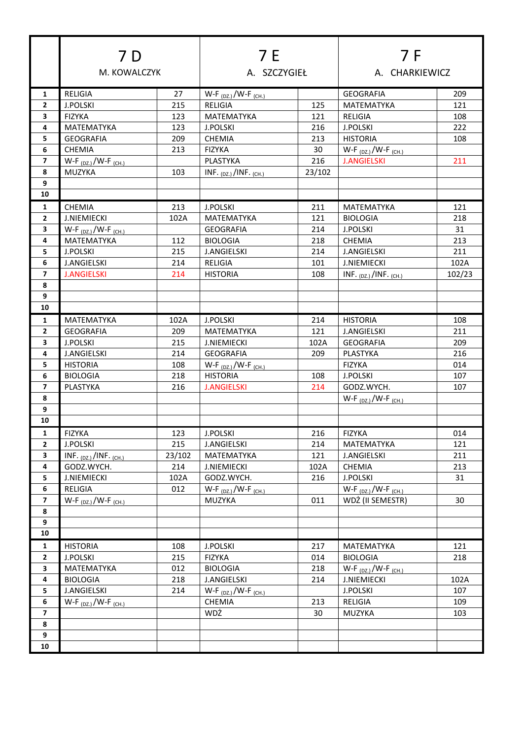|                          | 7 D                              |        | 7 E<br>A. SZCZYGIEŁ              |        | 7 F<br>A. CHARKIEWICZ          |        |
|--------------------------|----------------------------------|--------|----------------------------------|--------|--------------------------------|--------|
|                          | M. KOWALCZYK                     |        |                                  |        |                                |        |
| 1                        | RELIGIA                          | 27     | $W-F_{(DZ.)}/W-F_{(CH.)}$        |        | <b>GEOGRAFIA</b>               | 209    |
| $\overline{2}$           | <b>J.POLSKI</b>                  | 215    | <b>RELIGIA</b>                   | 125    | MATEMATYKA                     | 121    |
| 3                        | <b>FIZYKA</b>                    | 123    | MATEMATYKA                       | 121    | RELIGIA                        | 108    |
| 4                        | MATEMATYKA                       | 123    | <b>J.POLSKI</b>                  | 216    | <b>J.POLSKI</b>                | 222    |
| 5                        | <b>GEOGRAFIA</b>                 | 209    | <b>CHEMIA</b>                    | 213    | <b>HISTORIA</b>                | 108    |
| 6                        | <b>CHEMIA</b>                    | 213    | <b>FIZYKA</b>                    | 30     | $W-F_{(DZ.)}/W-F_{(CH.)}$      |        |
| $\overline{7}$           | W-F $_{(DZ.)}$ /W-F $_{(CH.)}$   |        | PLASTYKA                         | 216    | <b>J.ANGIELSKI</b>             | 211    |
| 8                        | MUZYKA                           | 103    | INF. $_{(DZ.)}$ /INF. $_{(CH.)}$ | 23/102 |                                |        |
| 9                        |                                  |        |                                  |        |                                |        |
| 10                       |                                  |        |                                  |        |                                |        |
| 1                        | <b>CHEMIA</b>                    | 213    | <b>J.POLSKI</b>                  | 211    | MATEMATYKA                     | 121    |
| $\mathbf{2}$             | <b>J.NIEMIECKI</b>               | 102A   | <b>MATEMATYKA</b>                | 121    | <b>BIOLOGIA</b>                | 218    |
| 3                        | W-F $_{(DZ.)}$ /W-F $_{(CH.)}$   |        | <b>GEOGRAFIA</b>                 | 214    | <b>J.POLSKI</b>                | 31     |
| 4                        | MATEMATYKA                       | 112    | <b>BIOLOGIA</b>                  | 218    | <b>CHEMIA</b>                  | 213    |
| 5                        | <b>J.POLSKI</b>                  | 215    | <b>J.ANGIELSKI</b>               | 214    | <b>J.ANGIELSKI</b>             | 211    |
| 6                        | <b>J.ANGIELSKI</b>               | 214    | <b>RELIGIA</b>                   | 101    | <b>J.NIEMIECKI</b>             | 102A   |
| $\overline{7}$           | <b>J.ANGIELSKI</b>               | 214    | <b>HISTORIA</b>                  | 108    | INF. $(DZ)$ /INF. $(CH)$       | 102/23 |
| 8                        |                                  |        |                                  |        |                                |        |
| 9                        |                                  |        |                                  |        |                                |        |
| 10                       |                                  |        |                                  |        |                                |        |
| 1                        | MATEMATYKA                       | 102A   | <b>J.POLSKI</b>                  | 214    | <b>HISTORIA</b>                | 108    |
| $\overline{2}$           | <b>GEOGRAFIA</b>                 | 209    | MATEMATYKA                       | 121    | J.ANGIELSKI                    | 211    |
| 3                        | <b>J.POLSKI</b>                  | 215    | <b>J.NIEMIECKI</b>               | 102A   | <b>GEOGRAFIA</b>               | 209    |
| 4                        | <b>J.ANGIELSKI</b>               | 214    | <b>GEOGRAFIA</b>                 | 209    | <b>PLASTYKA</b>                | 216    |
| 5.                       | <b>HISTORIA</b>                  | 108    | W-F $_{(DZ_i)}$ /W-F $_{(CH_i)}$ |        | <b>FIZYKA</b>                  | 014    |
| 6                        | <b>BIOLOGIA</b>                  | 218    | <b>HISTORIA</b>                  | 108    | <b>J.POLSKI</b>                | 107    |
| $\overline{ }$           | <b>PLASTYKA</b>                  | 216    | <b>J.ANGIELSKI</b>               | 214    | GODZ.WYCH.                     | 107    |
| 8                        |                                  |        |                                  |        | $W-F_{(DZ.)}/W-F_{(CH.)}$      |        |
| 9                        |                                  |        |                                  |        |                                |        |
| 10                       |                                  |        |                                  |        |                                |        |
| $\mathbf{1}$             | <b>FIZYKA</b>                    | 123    | <b>J.POLSKI</b>                  | 216    | <b>FIZYKA</b>                  | 014    |
| $\mathbf{2}$             | <b>J.POLSKI</b>                  | 215    | <b>J.ANGIELSKI</b>               | 214    | MATEMATYKA                     | 121    |
| 3                        | INF. $_{(DZ.)}$ /INF. $_{(CH.)}$ | 23/102 | MATEMATYKA                       | 121    | <b>J.ANGIELSKI</b>             | 211    |
| 4                        | GODZ.WYCH.                       | 214    | <b>J.NIEMIECKI</b>               | 102A   | <b>CHEMIA</b>                  | 213    |
| 5                        | <b>J.NIEMIECKI</b>               | 102A   | GODZ.WYCH.                       | 216    | <b>J.POLSKI</b>                | 31     |
| 6                        | RELIGIA                          | 012    | $W-F_{(DZ.)}/W-F_{(CH.)}$        |        | W-F $_{(DZ.)}$ /W-F $_{(CH.)}$ |        |
| $\overline{\phantom{a}}$ | $W-F_{(DZ.)}/W-F_{(CH.)}$        |        | MUZYKA                           | 011    | WDŻ (II SEMESTR)               | 30     |
| 8                        |                                  |        |                                  |        |                                |        |
| 9                        |                                  |        |                                  |        |                                |        |
| 10                       |                                  |        |                                  |        |                                |        |
| 1                        | <b>HISTORIA</b>                  | 108    | <b>J.POLSKI</b>                  | 217    | MATEMATYKA                     | 121    |
| $\mathbf{2}$             | <b>J.POLSKI</b>                  | 215    | <b>FIZYKA</b>                    | 014    | <b>BIOLOGIA</b>                | 218    |
| 3                        | MATEMATYKA                       | 012    | <b>BIOLOGIA</b>                  | 218    | $W-F_{(DZ.)}/W-F_{(CH.)}$      |        |
| 4                        | <b>BIOLOGIA</b>                  | 218    | <b>J.ANGIELSKI</b>               | 214    | <b>J.NIEMIECKI</b>             | 102A   |
| 5                        | <b>J.ANGIELSKI</b>               | 214    | W-F $_{(DZ.)}$ /W-F $_{(CH.)}$   |        | J.POLSKI                       | 107    |
| 6                        | $W-F_{(DZ.)}/W-F_{(CH.)}$        |        | CHEMIA                           | 213    | <b>RELIGIA</b>                 | 109    |
| $\overline{\mathbf{z}}$  |                                  |        | WDŻ                              | 30     | MUZYKA                         | 103    |
| 8                        |                                  |        |                                  |        |                                |        |
| $\boldsymbol{9}$         |                                  |        |                                  |        |                                |        |
| 10                       |                                  |        |                                  |        |                                |        |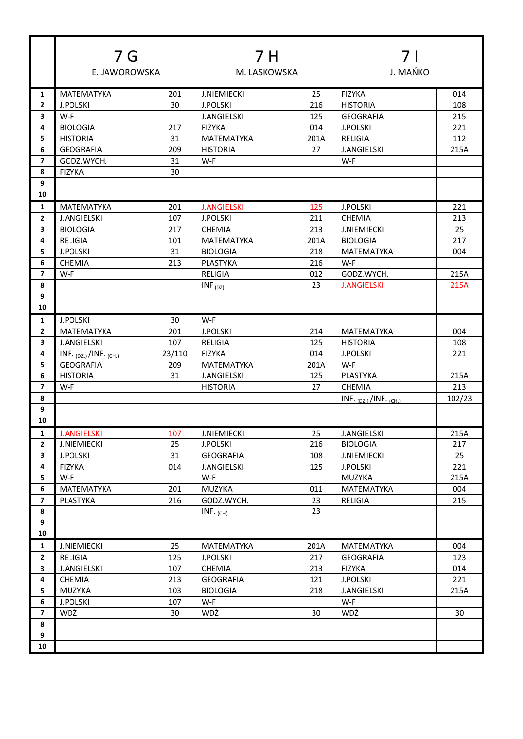|                         | 7 G<br>E. JAWOROWSKA             |           | 7 H<br>M. LASKOWSKA    |      | 7 I<br>J. MAŃKO           |           |
|-------------------------|----------------------------------|-----------|------------------------|------|---------------------------|-----------|
|                         |                                  |           |                        |      |                           |           |
| 1                       | <b>MATEMATYKA</b>                | 201       | <b>J.NIEMIECKI</b>     | 25   | <b>FIZYKA</b>             | 014       |
| $\mathbf{2}$            | <b>J.POLSKI</b>                  | 30        | <b>J.POLSKI</b>        | 216  | <b>HISTORIA</b>           | 108       |
| 3                       | W-F                              |           | <b>J.ANGIELSKI</b>     | 125  | <b>GEOGRAFIA</b>          | 215       |
| 4                       | <b>BIOLOGIA</b>                  | 217       | <b>FIZYKA</b>          | 014  | <b>J.POLSKI</b>           | 221       |
| 5.                      | <b>HISTORIA</b>                  | 31        | <b>MATEMATYKA</b>      | 201A | RELIGIA                   | 112       |
| 6                       | <b>GEOGRAFIA</b>                 | 209<br>31 | <b>HISTORIA</b><br>W-F | 27   | <b>J.ANGIELSKI</b><br>W-F | 215A      |
| 7<br>8                  | GODZ.WYCH.<br><b>FIZYKA</b>      | 30        |                        |      |                           |           |
| 9                       |                                  |           |                        |      |                           |           |
| 10                      |                                  |           |                        |      |                           |           |
| 1                       | <b>MATEMATYKA</b>                | 201       | <b>J.ANGIELSKI</b>     | 125  | <b>J.POLSKI</b>           | 221       |
| $\mathbf{2}$            | <b>J.ANGIELSKI</b>               | 107       | <b>J.POLSKI</b>        | 211  | <b>CHEMIA</b>             | 213       |
| 3                       | <b>BIOLOGIA</b>                  | 217       | <b>CHEMIA</b>          | 213  | <b>J.NIEMIECKI</b>        | 25        |
| 4                       | RELIGIA                          | 101       | <b>MATEMATYKA</b>      | 201A | <b>BIOLOGIA</b>           | 217       |
| 5.                      | J.POLSKI                         | 31        | <b>BIOLOGIA</b>        | 218  | <b>MATEMATYKA</b>         | 004       |
| 6                       | CHEMIA                           | 213       | <b>PLASTYKA</b>        | 216  | W-F                       |           |
| $\overline{ }$          | W-F                              |           | RELIGIA                | 012  | GODZ.WYCH.                | 215A      |
| 8                       |                                  |           | $INF_{.(DZ)}$          | 23   | <b>J.ANGIELSKI</b>        | 215A      |
| 9                       |                                  |           |                        |      |                           |           |
| 10                      |                                  |           |                        |      |                           |           |
| 1                       | <b>J.POLSKI</b>                  | 30        | W-F                    |      |                           |           |
| $\mathbf{2}$            | <b>MATEMATYKA</b>                | 201       | <b>J.POLSKI</b>        | 214  | <b>MATEMATYKA</b>         | 004       |
| 3                       | <b>J.ANGIELSKI</b>               | 107       | RELIGIA                | 125  | <b>HISTORIA</b>           | 108       |
| 4                       | INF. $_{(DZ.)}$ /INF. $_{(CH.)}$ | 23/110    | <b>FIZYKA</b>          | 014  | <b>J.POLSKI</b>           | 221       |
| 5                       | <b>GEOGRAFIA</b>                 | 209       | <b>MATEMATYKA</b>      | 201A | W-F                       |           |
| 6                       | <b>HISTORIA</b>                  | 31        | <b>J.ANGIELSKI</b>     | 125  | PLASTYKA                  | 215A      |
| $\overline{7}$          | W-F                              |           | <b>HISTORIA</b>        | 27   | CHEMIA                    | 213       |
| 8                       |                                  |           |                        |      | INF. $(DZ)$ /INF. $(CH.)$ | 102/23    |
| 9                       |                                  |           |                        |      |                           |           |
| 10                      |                                  |           |                        |      |                           |           |
| 1                       | <b>J.ANGIELSKI</b>               | 107       | <b>J.NIEMIECKI</b>     | 25   | <b>J.ANGIELSKI</b>        | 215A      |
| $\mathbf{2}$            | <b>J.NIEMIECKI</b>               | 25        | <b>J.POLSKI</b>        | 216  | <b>BIOLOGIA</b>           | 217       |
| 3<br>4                  | J.POLSKI                         | 31        | <b>GEOGRAFIA</b>       | 108  | <b>J.NIEMIECKI</b>        | 25<br>221 |
| 5                       | <b>FIZYKA</b><br>W-F             | 014       | J.ANGIELSKI<br>W-F     | 125  | J.POLSKI<br>MUZYKA        | 215A      |
| 6                       | MATEMATYKA                       | 201       | MUZYKA                 | 011  | MATEMATYKA                | 004       |
| $\overline{\mathbf{z}}$ | PLASTYKA                         | 216       | GODZ.WYCH.             | 23   | RELIGIA                   | 215       |
| 8                       |                                  |           | INF. $(CH)$            | 23   |                           |           |
| 9                       |                                  |           |                        |      |                           |           |
| 10                      |                                  |           |                        |      |                           |           |
| $\mathbf{1}$            | <b>J.NIEMIECKI</b>               | 25        | MATEMATYKA             | 201A | MATEMATYKA                | 004       |
| 2                       | RELIGIA                          | 125       | J.POLSKI               | 217  | <b>GEOGRAFIA</b>          | 123       |
| 3                       | <b>J.ANGIELSKI</b>               | 107       | CHEMIA                 | 213  | <b>FIZYKA</b>             | 014       |
| 4                       | <b>CHEMIA</b>                    | 213       | <b>GEOGRAFIA</b>       | 121  | <b>J.POLSKI</b>           | 221       |
| 5                       | MUZYKA                           | 103       | <b>BIOLOGIA</b>        | 218  | <b>J.ANGIELSKI</b>        | 215A      |
| 6                       | <b>J.POLSKI</b>                  | 107       | W-F                    |      | W-F                       |           |
| $\overline{\mathbf{z}}$ | WDŻ                              | 30        | WDŻ                    | 30   | WDŻ                       | 30        |
| 8                       |                                  |           |                        |      |                           |           |
| 9                       |                                  |           |                        |      |                           |           |
| 10                      |                                  |           |                        |      |                           |           |